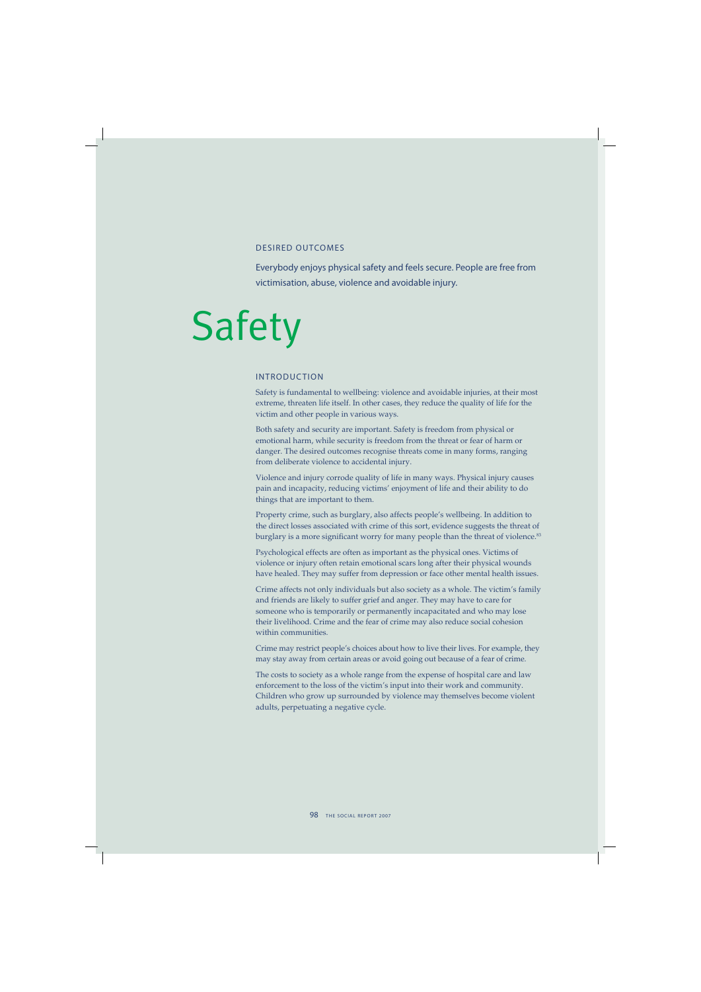## DESIRED OUTCOMES

Everybody enjoys physical safety and feels secure. People are free from victimisation, abuse, violence and avoidable injury.

# Safety

## INTRODUCTION

Safety is fundamental to wellbeing: violence and avoidable injuries, at their most extreme, threaten life itself. In other cases, they reduce the quality of life for the victim and other people in various ways.

Both safety and security are important. Safety is freedom from physical or emotional harm, while security is freedom from the threat or fear of harm or danger. The desired outcomes recognise threats come in many forms, ranging from deliberate violence to accidental injury.

Violence and injury corrode quality of life in many ways. Physical injury causes pain and incapacity, reducing victims' enjoyment of life and their ability to do things that are important to them.

Property crime, such as burglary, also affects people's wellbeing. In addition to the direct losses associated with crime of this sort, evidence suggests the threat of burglary is a more significant worry for many people than the threat of violence.<sup>83</sup>

Psychological effects are often as important as the physical ones. Victims of violence or injury often retain emotional scars long after their physical wounds have healed. They may suffer from depression or face other mental health issues.

Crime affects not only individuals but also society as a whole. The victim's family and friends are likely to suffer grief and anger. They may have to care for someone who is temporarily or permanently incapacitated and who may lose their livelihood. Crime and the fear of crime may also reduce social cohesion within communities.

Crime may restrict people's choices about how to live their lives. For example, they may stay away from certain areas or avoid going out because of a fear of crime.

The costs to society as a whole range from the expense of hospital care and law enforcement to the loss of the victim's input into their work and community. Children who grow up surrounded by violence may themselves become violent adults, perpetuating a negative cycle.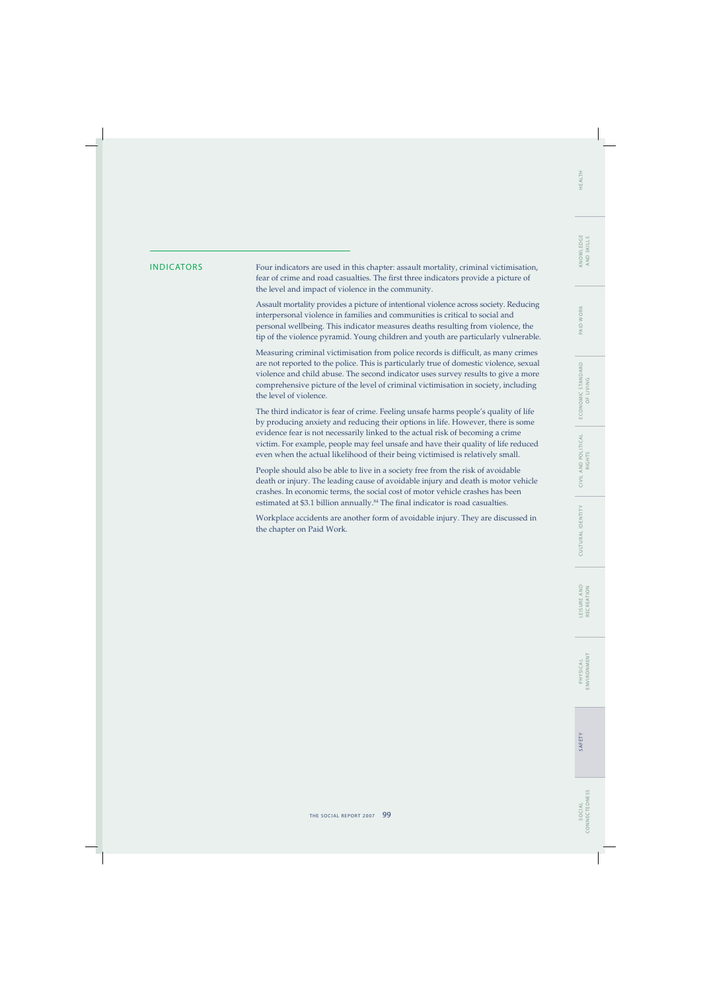## WORK PAID V

INDICATORS Four indicators are used in this chapter: assault mortality, criminal victimisation, fear of crime and road casualties. The first three indicators provide a picture of the level and impact of violence in the community.

> Assault mortality provides a picture of intentional violence across society. Reducing interpersonal violence in families and communities is critical to social and personal wellbeing. This indicator measures deaths resulting from violence, the tip of the violence pyramid. Young children and youth are particularly vulnerable.

> Measuring criminal victimisation from police records is difficult, as many crimes are not reported to the police. This is particularly true of domestic violence, sexual violence and child abuse. The second indicator uses survey results to give a more comprehensive picture of the level of criminal victimisation in society, including the level of violence.

> The third indicator is fear of crime. Feeling unsafe harms people's quality of life by producing anxiety and reducing their options in life. However, there is some evidence fear is not necessarily linked to the actual risk of becoming a crime victim. For example, people may feel unsafe and have their quality of life reduced even when the actual likelihood of their being victimised is relatively small.

> People should also be able to live in a society free from the risk of avoidable death or injury. The leading cause of avoidable injury and death is motor vehicle crashes. In economic terms, the social cost of motor vehicle crashes has been estimated at \$3.1 billion annually.<sup>84</sup> The final indicator is road casualties.

> Workplace accidents are another form of avoidable injury. They are discussed in the chapter on Paid Work.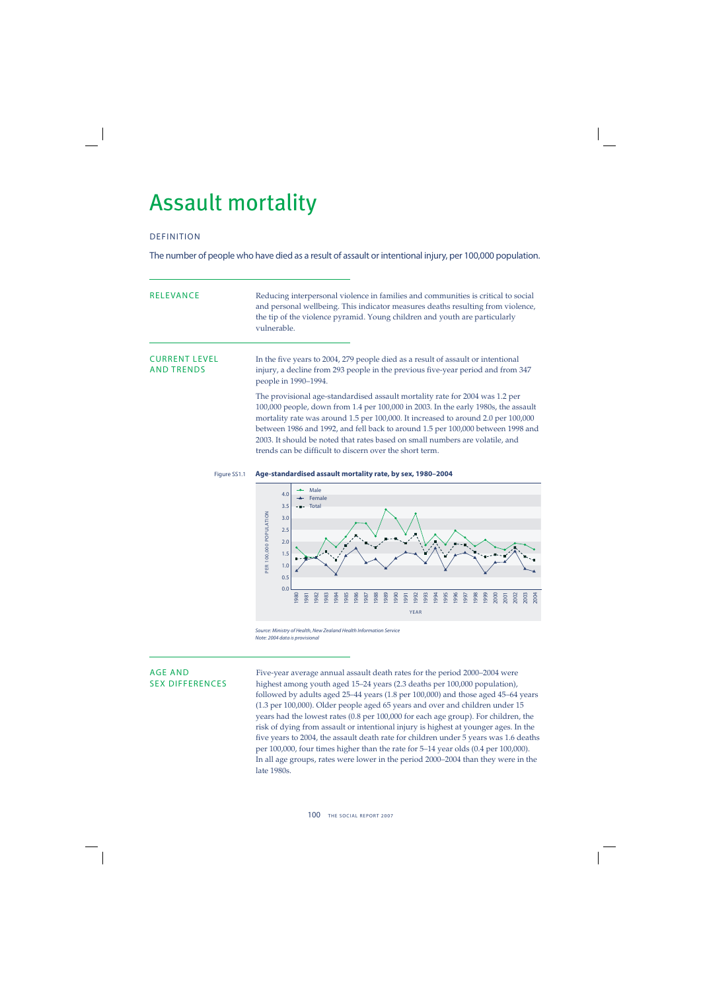## Assault mortality

## DEFINITION

The number of people who have died as a result of assault or intentional injury, per 100,000 population.

| <b>RELEVANCE</b>                          | Reducing interpersonal violence in families and communities is critical to social<br>and personal wellbeing. This indicator measures deaths resulting from violence,<br>the tip of the violence pyramid. Young children and youth are particularly<br>vulnerable.                                                                                                                                                                                                                     |
|-------------------------------------------|---------------------------------------------------------------------------------------------------------------------------------------------------------------------------------------------------------------------------------------------------------------------------------------------------------------------------------------------------------------------------------------------------------------------------------------------------------------------------------------|
| <b>CURRENT LEVEL</b><br><b>AND TRENDS</b> | In the five years to 2004, 279 people died as a result of assault or intentional<br>injury, a decline from 293 people in the previous five-year period and from 347<br>people in 1990–1994.                                                                                                                                                                                                                                                                                           |
|                                           | The provisional age-standardised assault mortality rate for 2004 was 1.2 per<br>100,000 people, down from 1.4 per 100,000 in 2003. In the early 1980s, the assault<br>mortality rate was around 1.5 per 100,000. It increased to around 2.0 per 100,000<br>between 1986 and 1992, and fell back to around 1.5 per 100,000 between 1998 and<br>2003. It should be noted that rates based on small numbers are volatile, and<br>trends can be difficult to discern over the short term. |

## Figure SS1.1 **Age-standardised assault mortality rate, by sex, 1980–2004**



Source: Ministry of Health, New Zealand Health Information Service Note: 2004 data is provisional

AGE AND Five-year average annual assault death rates for the period 2000–2004 were<br>SEX DIFFERENCES highest among youth aged 15–24 years (2.3 deaths per 100.000 population). highest among youth aged 15–24 years (2.3 deaths per 100,000 population), followed by adults aged 25–44 years (1.8 per 100,000) and those aged 45–64 years (1.3 per 100,000). Older people aged 65 years and over and children under 15 years had the lowest rates (0.8 per 100,000 for each age group). For children, the risk of dying from assault or intentional injury is highest at younger ages. In the five years to 2004, the assault death rate for children under 5 years was 1.6 deaths per 100,000, four times higher than the rate for 5–14 year olds (0.4 per 100,000). In all age groups, rates were lower in the period 2000–2004 than they were in the late 1980s.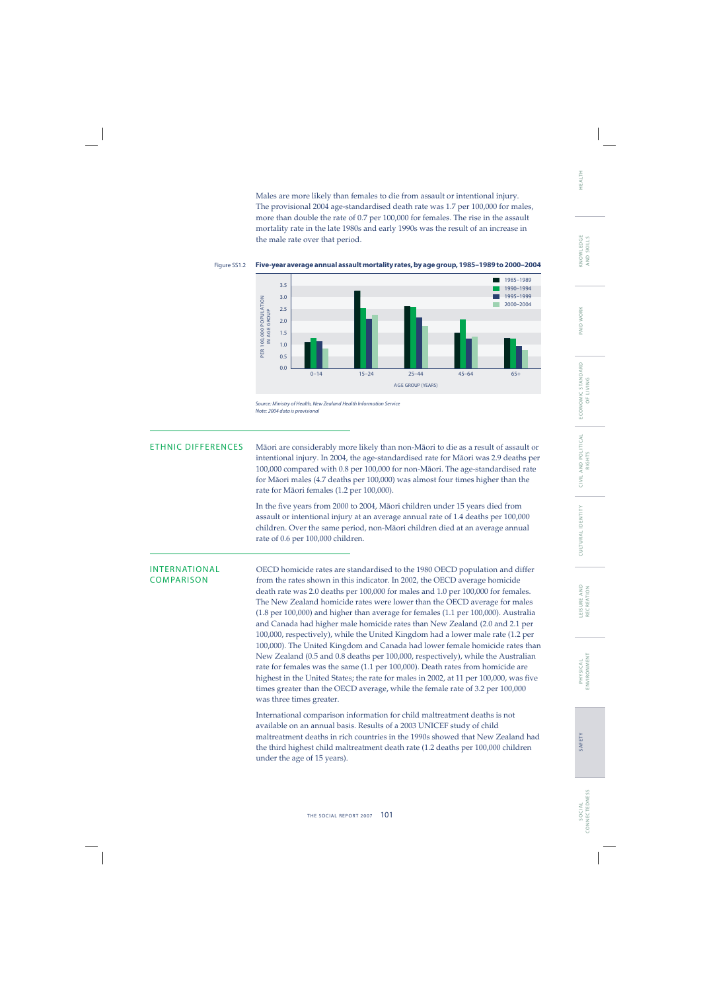Males are more likely than females to die from assault or intentional injury. The provisional 2004 age-standardised death rate was 1.7 per 100,000 for males, more than double the rate of 0.7 per 100,000 for females. The rise in the assault mortality rate in the late 1980s and early 1990s was the result of an increase in the male rate over that period.



### Figure SS1.2 **Five-year average annual assault mortality rates, by age group, 1985–1989 to 2000–2004**

Source: Ministry of Health, New Zealand Health Information Service Note: 2004 data is provisional

ETHNIC DIFFERENCES Mäori are considerably more likely than non-Mäori to die as a result of assault or intentional injury. In 2004, the age-standardised rate for Mäori was 2.9 deaths per 100,000 compared with 0.8 per 100,000 for non-Mäori. The age-standardised rate for Mäori males (4.7 deaths per 100,000) was almost four times higher than the rate for Mäori females (1.2 per 100,000).

> In the five years from 2000 to 2004, Māori children under 15 years died from assault or intentional injury at an average annual rate of 1.4 deaths per 100,000 children. Over the same period, non-Mäori children died at an average annual rate of 0.6 per 100,000 children.

INTERNATIONAL OECD homicide rates are standardised to the 1980 OECD population and differ<br>COMPARISON from the rates shown in this indicator. In 2002, the OECD average homicide from the rates shown in this indicator. In 2002, the OECD average homicide death rate was 2.0 deaths per 100,000 for males and 1.0 per 100,000 for females. The New Zealand homicide rates were lower than the OECD average for males (1.8 per 100,000) and higher than average for females (1.1 per 100,000). Australia and Canada had higher male homicide rates than New Zealand (2.0 and 2.1 per 100,000, respectively), while the United Kingdom had a lower male rate (1.2 per 100,000). The United Kingdom and Canada had lower female homicide rates than New Zealand (0.5 and 0.8 deaths per 100,000, respectively), while the Australian rate for females was the same (1.1 per 100,000). Death rates from homicide are highest in the United States; the rate for males in 2002, at 11 per 100,000, was five times greater than the OECD average, while the female rate of 3.2 per 100,000 was three times greater.

> International comparison information for child maltreatment deaths is not available on an annual basis. Results of a 2003 UNICEF study of child maltreatment deaths in rich countries in the 1990s showed that New Zealand had the third highest child maltreatment death rate (1.2 deaths per 100,000 children under the age of 15 years).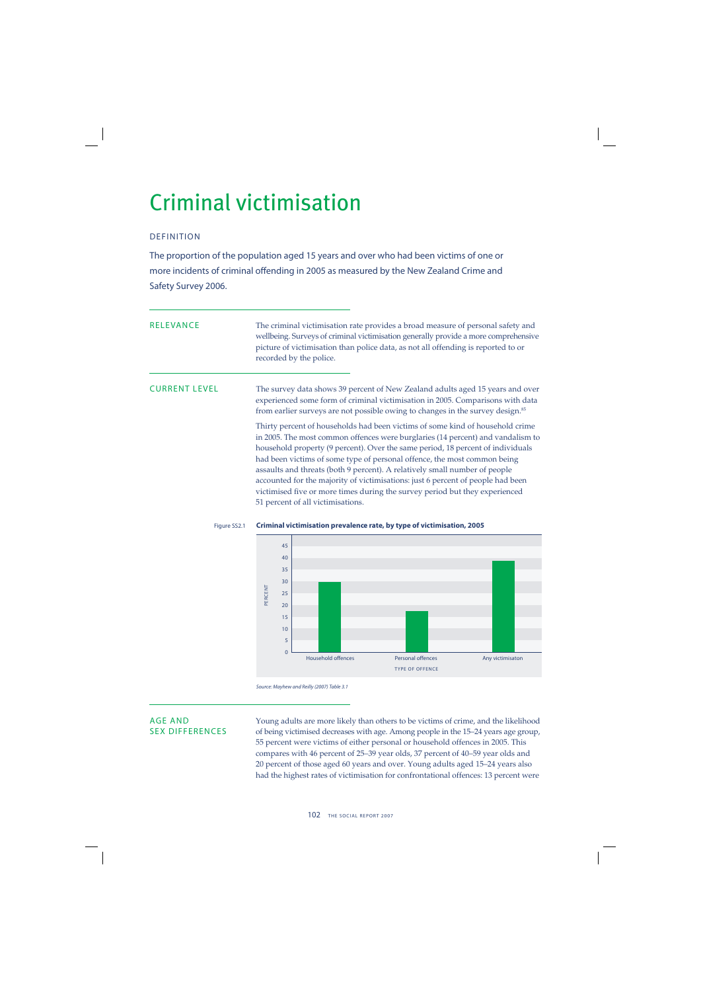## Criminal victimisation

## DEFINITION

The proportion of the population aged 15 years and over who had been victims of one or more incidents of criminal offending in 2005 as measured by the New Zealand Crime and Safety Survey 2006.

RELEVANCE The criminal victimisation rate provides a broad measure of personal safety and wellbeing. Surveys of criminal victimisation generally provide a more comprehensive picture of victimisation than police data, as not all offending is reported to or recorded by the police.

CURRENT LEVEL The survey data shows 39 percent of New Zealand adults aged 15 years and over experienced some form of criminal victimisation in 2005. Comparisons with data from earlier surveys are not possible owing to changes in the survey design.<sup>85</sup>

> Thirty percent of households had been victims of some kind of household crime in 2005. The most common offences were burglaries (14 percent) and vandalism to household property (9 percent). Over the same period, 18 percent of individuals had been victims of some type of personal offence, the most common being assaults and threats (both 9 percent). A relatively small number of people accounted for the majority of victimisations: just 6 percent of people had been victimised five or more times during the survey period but they experienced 51 percent of all victimisations.



## Figure SS2.1 **Criminal victimisation prevalence rate, by type of victimisation, 2005**

AGE AND Young adults are more likely than others to be victims of crime, and the likelihood SEX DIFFERENCES of being victimised decreases with age. Among people in the 15-24 years age group, 55 percent were victims of either personal or household offences in 2005. This compares with 46 percent of 25–39 year olds, 37 percent of 40–59 year olds and 20 percent of those aged 60 years and over. Young adults aged 15–24 years also had the highest rates of victimisation for confrontational offences: 13 percent were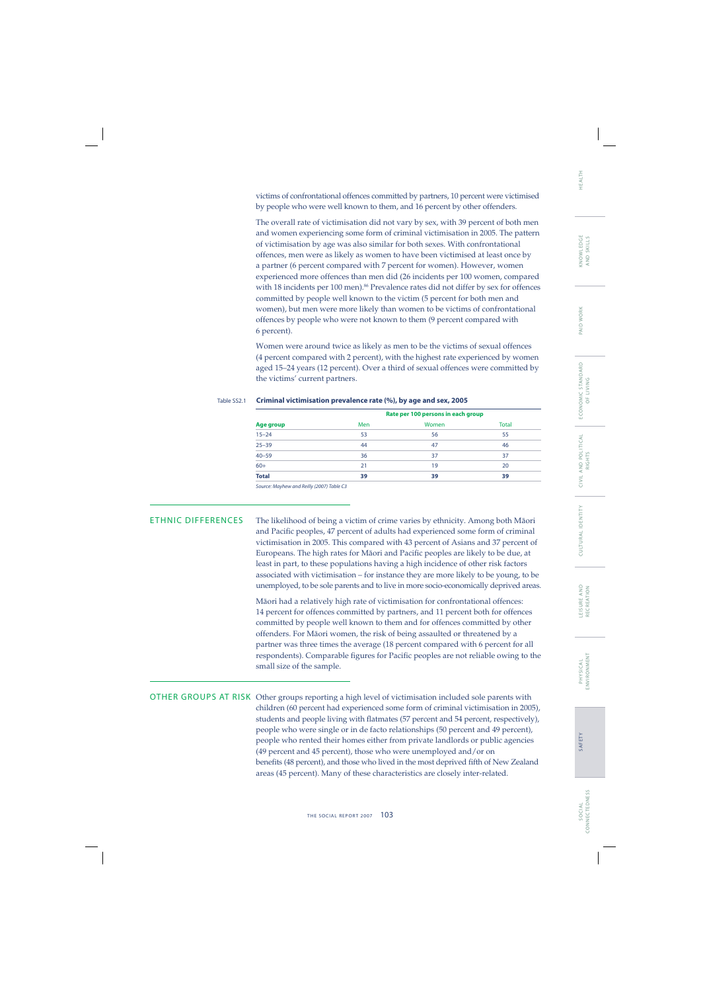HEALTH

CONNECTEDNESS CONNECTEDNESS S O C I A L SOCIAL

victims of confrontational offences committed by partners, 10 percent were victimised by people who were well known to them, and 16 percent by other offenders.

The overall rate of victimisation did not vary by sex, with 39 percent of both men and women experiencing some form of criminal victimisation in 2005. The pattern of victimisation by age was also similar for both sexes. With confrontational offences, men were as likely as women to have been victimised at least once by a partner (6 percent compared with 7 percent for women). However, women experienced more offences than men did (26 incidents per 100 women, compared with 18 incidents per 100 men).<sup>86</sup> Prevalence rates did not differ by sex for offences committed by people well known to the victim (5 percent for both men and women), but men were more likely than women to be victims of confrontational offences by people who were not known to them (9 percent compared with 6 percent).

Women were around twice as likely as men to be the victims of sexual offences (4 percent compared with 2 percent), with the highest rate experienced by women aged 15–24 years (12 percent). Over a third of sexual offences were committed by the victims' current partners.

|                                           |     | Rate per 100 persons in each group |              |
|-------------------------------------------|-----|------------------------------------|--------------|
| Age group                                 | Men | Women                              | <b>Total</b> |
| $15 - 24$                                 | 53  | 56                                 | 55           |
| $25 - 39$                                 | 44  | 47                                 | 46           |
| $40 - 59$                                 | 36  | 37                                 | 37           |
| $60+$                                     | 21  | 19                                 | 20           |
| <b>Total</b>                              | 39  | 39                                 | 39           |
| Course Marshau and Bailly (2007) Table C2 |     |                                    |              |

## Table SS2.1 **Criminal victimisation prevalence rate (%), by age and sex, 2005**

Source: Mayhew and Reilly (2007) Table C3

ETHNIC DIFFERENCES The likelihood of being a victim of crime varies by ethnicity. Among both Mäori and Pacific peoples, 47 percent of adults had experienced some form of criminal victimisation in 2005. This compared with 43 percent of Asians and 37 percent of Europeans. The high rates for Māori and Pacific peoples are likely to be due, at least in part, to these populations having a high incidence of other risk factors associated with victimisation – for instance they are more likely to be young, to be unemployed, to be sole parents and to live in more socio-economically deprived areas.

> Mäori had a relatively high rate of victimisation for confrontational offences: 14 percent for offences committed by partners, and 11 percent both for offences committed by people well known to them and for offences committed by other offenders. For Mäori women, the risk of being assaulted or threatened by a partner was three times the average (18 percent compared with 6 percent for all respondents). Comparable figures for Pacific peoples are not reliable owing to the small size of the sample.

OTHER GROUPS AT RISK Other groups reporting a high level of victimisation included sole parents with children (60 percent had experienced some form of criminal victimisation in 2005), students and people living with flatmates (57 percent and 54 percent, respectively), people who were single or in de facto relationships (50 percent and 49 percent), people who rented their homes either from private landlords or public agencies (49 percent and 45 percent), those who were unemployed and/or on benefits (48 percent), and those who lived in the most deprived fifth of New Zealand areas (45 percent). Many of these characteristics are closely inter-related.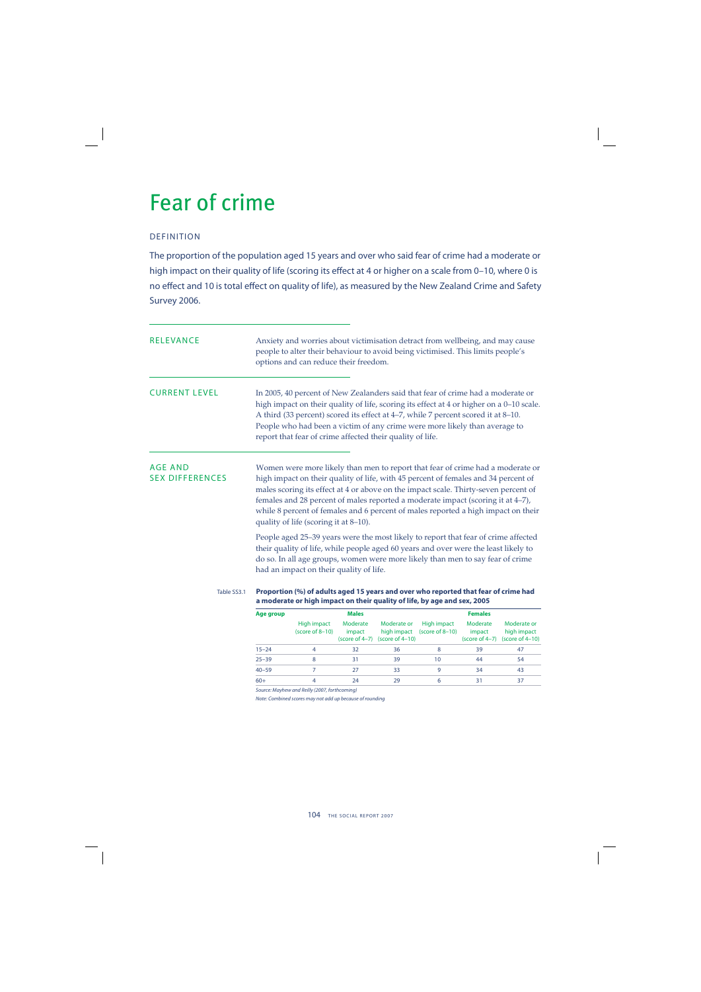## Fear of crime

## DEFINITION

The proportion of the population aged 15 years and over who said fear of crime had a moderate or high impact on their quality of life (scoring its effect at 4 or higher on a scale from 0-10, where 0 is no effect and 10 is total effect on quality of life), as measured by the New Zealand Crime and Safety Survey 2006.

| RELEVANCE                         |                                                                                                                                                                                                                                                                                                                                                                                                                                                                              | Anxiety and worries about victimisation detract from wellbeing, and may cause<br>people to alter their behaviour to avoid being victimised. This limits people's<br>options and can reduce their freedom.                                                                                                                                                                                                   |                    |                                                     |                                            |                                        |                                                  |
|-----------------------------------|------------------------------------------------------------------------------------------------------------------------------------------------------------------------------------------------------------------------------------------------------------------------------------------------------------------------------------------------------------------------------------------------------------------------------------------------------------------------------|-------------------------------------------------------------------------------------------------------------------------------------------------------------------------------------------------------------------------------------------------------------------------------------------------------------------------------------------------------------------------------------------------------------|--------------------|-----------------------------------------------------|--------------------------------------------|----------------------------------------|--------------------------------------------------|
| <b>CURRENT LEVEL</b>              |                                                                                                                                                                                                                                                                                                                                                                                                                                                                              | In 2005, 40 percent of New Zealanders said that fear of crime had a moderate or<br>high impact on their quality of life, scoring its effect at 4 or higher on a 0-10 scale.<br>A third (33 percent) scored its effect at 4-7, while 7 percent scored it at 8-10.<br>People who had been a victim of any crime were more likely than average to<br>report that fear of crime affected their quality of life. |                    |                                                     |                                            |                                        |                                                  |
| AGE AND<br><b>SEX DIFFERENCES</b> | Women were more likely than men to report that fear of crime had a moderate or<br>high impact on their quality of life, with 45 percent of females and 34 percent of<br>males scoring its effect at 4 or above on the impact scale. Thirty-seven percent of<br>females and 28 percent of males reported a moderate impact (scoring it at 4-7),<br>while 8 percent of females and 6 percent of males reported a high impact on their<br>quality of life (scoring it at 8-10). |                                                                                                                                                                                                                                                                                                                                                                                                             |                    |                                                     |                                            |                                        |                                                  |
|                                   |                                                                                                                                                                                                                                                                                                                                                                                                                                                                              | People aged 25–39 years were the most likely to report that fear of crime affected<br>their quality of life, while people aged 60 years and over were the least likely to<br>do so. In all age groups, women were more likely than men to say fear of crime<br>had an impact on their quality of life.                                                                                                      |                    |                                                     |                                            |                                        |                                                  |
| Table SS3.1                       |                                                                                                                                                                                                                                                                                                                                                                                                                                                                              | Proportion (%) of adults aged 15 years and over who reported that fear of crime had<br>a moderate or high impact on their quality of life, by age and sex, 2005                                                                                                                                                                                                                                             |                    |                                                     |                                            |                                        |                                                  |
|                                   | <b>Age group</b>                                                                                                                                                                                                                                                                                                                                                                                                                                                             |                                                                                                                                                                                                                                                                                                                                                                                                             | <b>Males</b>       |                                                     |                                            | <b>Females</b>                         |                                                  |
|                                   |                                                                                                                                                                                                                                                                                                                                                                                                                                                                              | High impact<br>$(score of 8-10)$                                                                                                                                                                                                                                                                                                                                                                            | Moderate<br>impact | Moderate or<br>(score of $4-7$ ) (score of $4-10$ ) | High impact<br>high impact (score of 8-10) | Moderate<br>impact<br>$(score of 4-7)$ | Moderate or<br>high impact<br>(score of $4-10$ ) |
|                                   | $15 - 24$                                                                                                                                                                                                                                                                                                                                                                                                                                                                    | 4                                                                                                                                                                                                                                                                                                                                                                                                           | 32                 | 36                                                  | 8                                          | 39                                     | 47                                               |
|                                   | $25 - 39$                                                                                                                                                                                                                                                                                                                                                                                                                                                                    | 8                                                                                                                                                                                                                                                                                                                                                                                                           | 31                 | 39                                                  | 10                                         | 44                                     | 54                                               |
|                                   | $40 - 59$                                                                                                                                                                                                                                                                                                                                                                                                                                                                    | $\overline{7}$                                                                                                                                                                                                                                                                                                                                                                                              | 27                 | 33                                                  | 9                                          | 34                                     | 43                                               |

Source: Mayhew and Reilly (2007, forthcoming)

Note: Combined scores may not add up because of rounding

60+ 4 24 29 6 31 37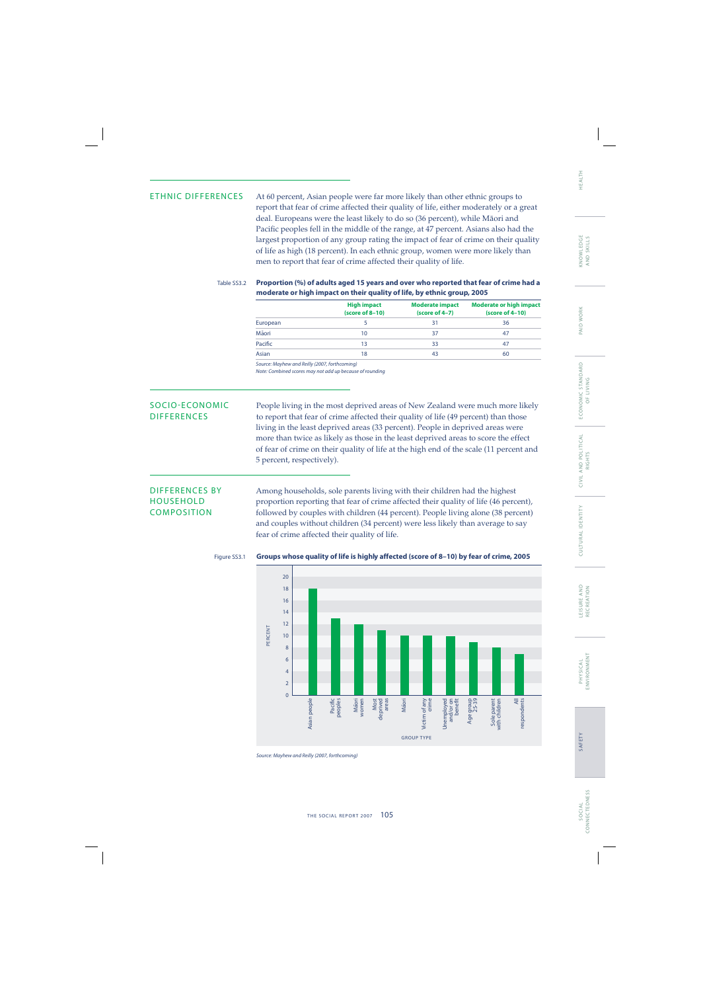ETHNIC DIFFERENCES At 60 percent, Asian people were far more likely than other ethnic groups to report that fear of crime affected their quality of life, either moderately or a great deal. Europeans were the least likely to do so (36 percent), while Mäori and Pacific peoples fell in the middle of the range, at 47 percent. Asians also had the largest proportion of any group rating the impact of fear of crime on their quality of life as high (18 percent). In each ethnic group, women were more likely than men to report that fear of crime affected their quality of life.

## Table SS3.2 **Proportion (%) of adults aged 15 years and over who reported that fear of crime had a moderate or high impact on their quality of life, by ethnic group, 2005**

|          | <b>High impact</b><br>(score of 8-10) | <b>Moderate impact</b><br>(score of 4-7) | <b>Moderate or high impact</b><br>$(score of 4-10)$ |  |
|----------|---------------------------------------|------------------------------------------|-----------------------------------------------------|--|
| European |                                       | 31                                       | 36                                                  |  |
| Māori    | 10                                    | 37                                       | 47                                                  |  |
| Pacific  | 13                                    | 33                                       | 47                                                  |  |
| Asian    | 18                                    | 43                                       | 60                                                  |  |

Source: Mayhew and Reilly (2007, forthcoming)

Note: Combined scores may not add up because of rounding

SOCIO-ECONOMIC People living in the most deprived areas of New Zealand were much more likely DIFFERENCES to report that fear of crime affected their quality of life (49 percent) than those living in the least deprived areas (33 percent). People in deprived areas were more than twice as likely as those in the least deprived areas to score the effect of fear of crime on their quality of life at the high end of the scale (11 percent and 5 percent, respectively).

DIFFERENCES BY Among households, sole parents living with their children had the highest<br>HOUSEHOLD proportion reporting that fear of crime affected their quality of life (46 perc proportion reporting that fear of crime affected their quality of life (46 percent), COMPOSITION followed by couples with children (44 percent). People living alone (38 percent) and couples without children (34 percent) were less likely than average to say fear of crime affected their quality of life.



AND SKILLS

KNOWLEDGE<br>AND SKILLS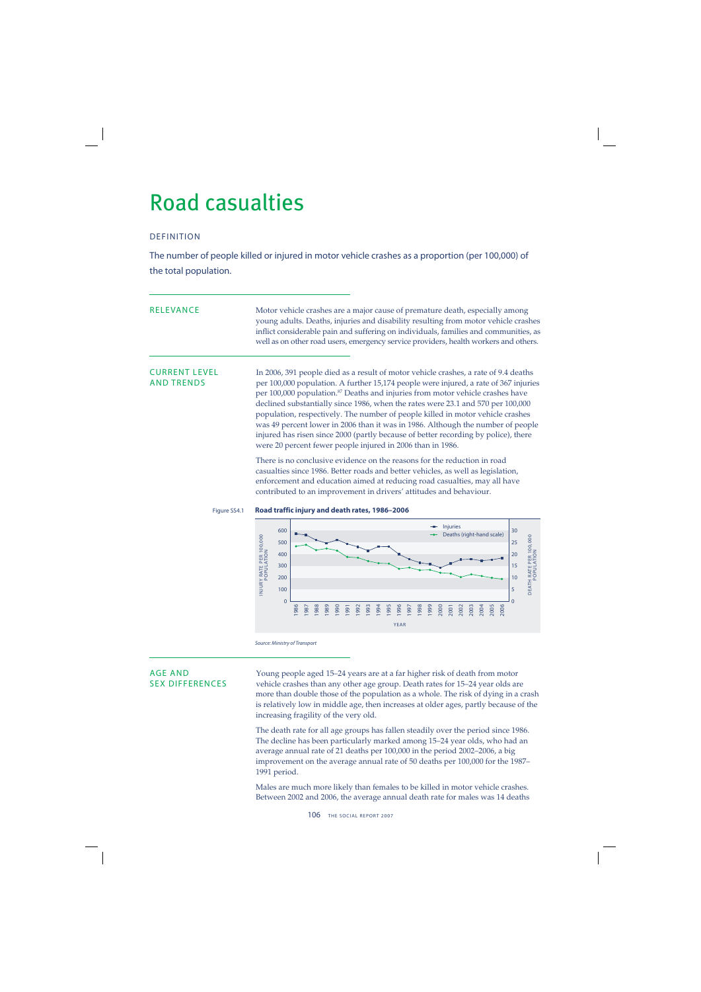## Road casualties

## DEFINITION

The number of people killed or injured in motor vehicle crashes as a proportion (per 100,000) of the total population.

| <b>RELEVANCE</b>                          | Motor vehicle crashes are a major cause of premature death, especially among<br>young adults. Deaths, injuries and disability resulting from motor vehicle crashes<br>inflict considerable pain and suffering on individuals, families and communities, as<br>well as on other road users, emergency service providers, health workers and others.                                                                                                                                                                                                                                                                                                                                   |  |  |  |  |
|-------------------------------------------|--------------------------------------------------------------------------------------------------------------------------------------------------------------------------------------------------------------------------------------------------------------------------------------------------------------------------------------------------------------------------------------------------------------------------------------------------------------------------------------------------------------------------------------------------------------------------------------------------------------------------------------------------------------------------------------|--|--|--|--|
| <b>CURRENT LEVEL</b><br><b>AND TRENDS</b> | In 2006, 391 people died as a result of motor vehicle crashes, a rate of 9.4 deaths<br>per 100,000 population. A further 15,174 people were injured, a rate of 367 injuries<br>per 100,000 population. <sup>87</sup> Deaths and injuries from motor vehicle crashes have<br>declined substantially since 1986, when the rates were 23.1 and 570 per 100,000<br>population, respectively. The number of people killed in motor vehicle crashes<br>was 49 percent lower in 2006 than it was in 1986. Although the number of people<br>injured has risen since 2000 (partly because of better recording by police), there<br>were 20 percent fewer people injured in 2006 than in 1986. |  |  |  |  |
|                                           | There is no conclusive evidence on the reasons for the reduction in road<br>casualties since 1986. Better roads and better vehicles, as well as legislation,<br>enforcement and education aimed at reducing road casualties, may all have<br>contributed to an improvement in drivers' attitudes and behaviour.                                                                                                                                                                                                                                                                                                                                                                      |  |  |  |  |
| Figure SS4.1                              | Road traffic injury and death rates, 1986-2006                                                                                                                                                                                                                                                                                                                                                                                                                                                                                                                                                                                                                                       |  |  |  |  |
|                                           | <b>Injuries</b><br>600<br>30<br>Deaths (right-hand scale)<br>$\circ$<br>$\circ$                                                                                                                                                                                                                                                                                                                                                                                                                                                                                                                                                                                                      |  |  |  |  |



Source: Ministry of Transport

AGE AND<br>SEX DIFFERENCES vehicle crashes than any other age group. Death rates for 15–24 year olds and<br>SEX DIFFERENCES vehicle crashes than any other age group. Death rates for 15-24 year olds are more than double those of the population as a whole. The risk of dying in a crash is relatively low in middle age, then increases at older ages, partly because of the increasing fragility of the very old.

> The death rate for all age groups has fallen steadily over the period since 1986. The decline has been particularly marked among 15–24 year olds, who had an average annual rate of 21 deaths per 100,000 in the period 2002–2006, a big improvement on the average annual rate of 50 deaths per 100,000 for the 1987– 1991 period.

> Males are much more likely than females to be killed in motor vehicle crashes. Between 2002 and 2006, the average annual death rate for males was 14 deaths